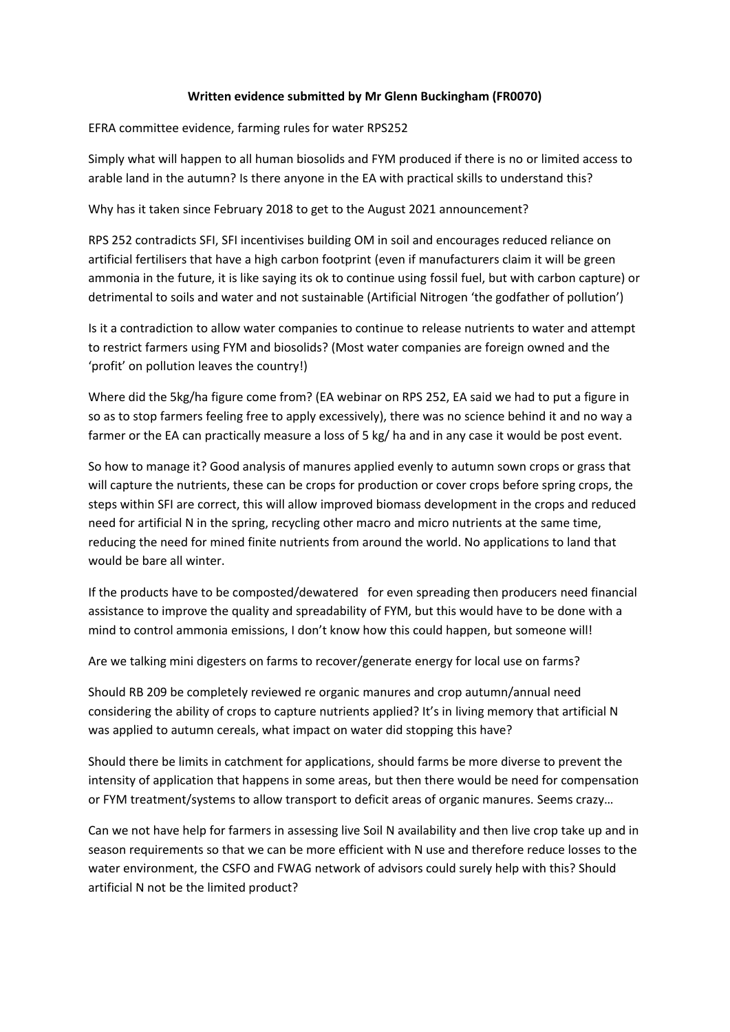## **Written evidence submitted by Mr Glenn Buckingham (FR0070)**

EFRA committee evidence, farming rules for water RPS252

Simply what will happen to all human biosolids and FYM produced if there is no or limited access to arable land in the autumn? Is there anyone in the EA with practical skills to understand this?

Why has it taken since February 2018 to get to the August 2021 announcement?

RPS 252 contradicts SFI, SFI incentivises building OM in soil and encourages reduced reliance on artificial fertilisers that have a high carbon footprint (even if manufacturers claim it will be green ammonia in the future, it is like saying its ok to continue using fossil fuel, but with carbon capture) or detrimental to soils and water and not sustainable (Artificial Nitrogen 'the godfather of pollution')

Is it a contradiction to allow water companies to continue to release nutrients to water and attempt to restrict farmers using FYM and biosolids? (Most water companies are foreign owned and the 'profit' on pollution leaves the country!)

Where did the 5kg/ha figure come from? (EA webinar on RPS 252, EA said we had to put a figure in so as to stop farmers feeling free to apply excessively), there was no science behind it and no way a farmer or the EA can practically measure a loss of 5 kg/ ha and in any case it would be post event.

So how to manage it? Good analysis of manures applied evenly to autumn sown crops or grass that will capture the nutrients, these can be crops for production or cover crops before spring crops, the steps within SFI are correct, this will allow improved biomass development in the crops and reduced need for artificial N in the spring, recycling other macro and micro nutrients at the same time, reducing the need for mined finite nutrients from around the world. No applications to land that would be bare all winter.

If the products have to be composted/dewatered for even spreading then producers need financial assistance to improve the quality and spreadability of FYM, but this would have to be done with a mind to control ammonia emissions, I don't know how this could happen, but someone will!

Are we talking mini digesters on farms to recover/generate energy for local use on farms?

Should RB 209 be completely reviewed re organic manures and crop autumn/annual need considering the ability of crops to capture nutrients applied? It's in living memory that artificial N was applied to autumn cereals, what impact on water did stopping this have?

Should there be limits in catchment for applications, should farms be more diverse to prevent the intensity of application that happens in some areas, but then there would be need for compensation or FYM treatment/systems to allow transport to deficit areas of organic manures. Seems crazy…

Can we not have help for farmers in assessing live Soil N availability and then live crop take up and in season requirements so that we can be more efficient with N use and therefore reduce losses to the water environment, the CSFO and FWAG network of advisors could surely help with this? Should artificial N not be the limited product?